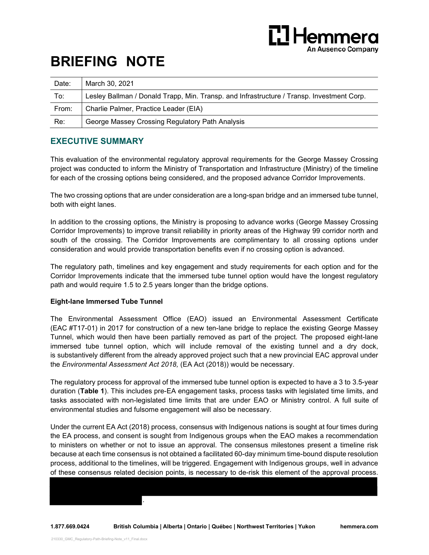

# **BRIEFING NOTE**

| Date: | March 30, 2021                                                                            |
|-------|-------------------------------------------------------------------------------------------|
| To:   | Lesley Ballman / Donald Trapp, Min. Transp. and Infrastructure / Transp. Investment Corp. |
| From: | Charlie Palmer, Practice Leader (EIA)                                                     |
| Re:   | George Massey Crossing Regulatory Path Analysis                                           |

## **EXECUTIVE SUMMARY**

This evaluation of the environmental regulatory approval requirements for the George Massey Crossing project was conducted to inform the Ministry of Transportation and Infrastructure (Ministry) of the timeline for each of the crossing options being considered, and the proposed advance Corridor Improvements.

The two crossing options that are under consideration are a long-span bridge and an immersed tube tunnel, both with eight lanes.

In addition to the crossing options, the Ministry is proposing to advance works (George Massey Crossing Corridor Improvements) to improve transit reliability in priority areas of the Highway 99 corridor north and south of the crossing. The Corridor Improvements are complimentary to all crossing options under consideration and would provide transportation benefits even if no crossing option is advanced.

The regulatory path, timelines and key engagement and study requirements for each option and for the Corridor Improvements indicate that the immersed tube tunnel option would have the longest regulatory path and would require 1.5 to 2.5 years longer than the bridge options.

#### **Eight-lane Immersed Tube Tunnel**

The Environmental Assessment Office (EAO) issued an Environmental Assessment Certificate (EAC #T17-01) in 2017 for construction of a new ten-lane bridge to replace the existing George Massey Tunnel, which would then have been partially removed as part of the project. The proposed eight-lane immersed tube tunnel option, which will include removal of the existing tunnel and a dry dock, is substantively different from the already approved project such that a new provincial EAC approval under the *Environmental Assessment Act 2018,* (EA Act (2018)) would be necessary.

The regulatory process for approval of the immersed tube tunnel option is expected to have a 3 to 3.5-year duration (**Table 1**). This includes pre-EA engagement tasks, process tasks with legislated time limits, and tasks associated with non-legislated time limits that are under EAO or Ministry control. A full suite of environmental studies and fulsome engagement will also be necessary.

Under the current EA Act (2018) process, consensus with Indigenous nations is sought at four times during the EA process, and consent is sought from Indigenous groups when the EAO makes a recommendation to ministers on whether or not to issue an approval. The consensus milestones present a timeline risk because at each time consensus is not obtained a facilitated 60-day minimum time-bound dispute resolution process, additional to the timelines, will be triggered. Engagement with Indigenous groups, well in advance of these consensus related decision points, is necessary to de-risk this element of the approval process.

.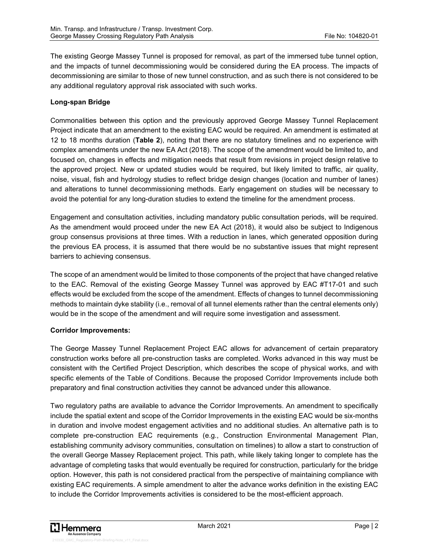The existing George Massey Tunnel is proposed for removal, as part of the immersed tube tunnel option, and the impacts of tunnel decommissioning would be considered during the EA process. The impacts of decommissioning are similar to those of new tunnel construction, and as such there is not considered to be any additional regulatory approval risk associated with such works.

#### **Long-span Bridge**

Commonalities between this option and the previously approved George Massey Tunnel Replacement Project indicate that an amendment to the existing EAC would be required. An amendment is estimated at 12 to 18 months duration (**Table 2**), noting that there are no statutory timelines and no experience with complex amendments under the new EA Act (2018). The scope of the amendment would be limited to, and focused on, changes in effects and mitigation needs that result from revisions in project design relative to the approved project. New or updated studies would be required, but likely limited to traffic, air quality, noise, visual, fish and hydrology studies to reflect bridge design changes (location and number of lanes) and alterations to tunnel decommissioning methods. Early engagement on studies will be necessary to avoid the potential for any long-duration studies to extend the timeline for the amendment process.

Engagement and consultation activities, including mandatory public consultation periods, will be required. As the amendment would proceed under the new EA Act (2018), it would also be subject to Indigenous group consensus provisions at three times. With a reduction in lanes, which generated opposition during the previous EA process, it is assumed that there would be no substantive issues that might represent barriers to achieving consensus.

The scope of an amendment would be limited to those components of the project that have changed relative to the EAC. Removal of the existing George Massey Tunnel was approved by EAC #T17-01 and such effects would be excluded from the scope of the amendment. Effects of changes to tunnel decommissioning methods to maintain dyke stability (i.e., removal of all tunnel elements rather than the central elements only) would be in the scope of the amendment and will require some investigation and assessment.

#### **Corridor Improvements:**

The George Massey Tunnel Replacement Project EAC allows for advancement of certain preparatory construction works before all pre-construction tasks are completed. Works advanced in this way must be consistent with the Certified Project Description, which describes the scope of physical works, and with specific elements of the Table of Conditions. Because the proposed Corridor Improvements include both preparatory and final construction activities they cannot be advanced under this allowance.

Two regulatory paths are available to advance the Corridor Improvements. An amendment to specifically include the spatial extent and scope of the Corridor Improvements in the existing EAC would be six-months in duration and involve modest engagement activities and no additional studies. An alternative path is to complete pre-construction EAC requirements (e.g., Construction Environmental Management Plan, establishing community advisory communities, consultation on timelines) to allow a start to construction of the overall George Massey Replacement project. This path, while likely taking longer to complete has the advantage of completing tasks that would eventually be required for construction, particularly for the bridge option. However, this path is not considered practical from the perspective of maintaining compliance with existing EAC requirements. A simple amendment to alter the advance works definition in the existing EAC to include the Corridor Improvements activities is considered to be the most-efficient approach.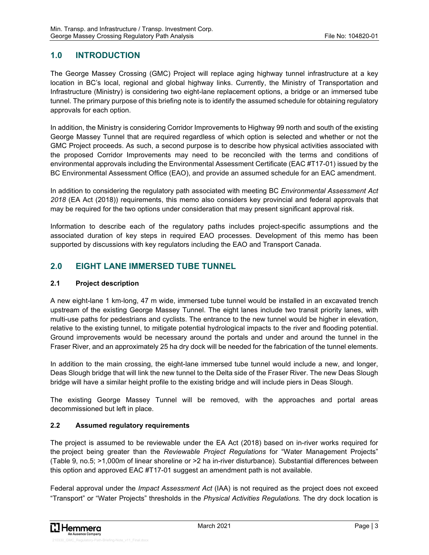# **1.0 INTRODUCTION**

The George Massey Crossing (GMC) Project will replace aging highway tunnel infrastructure at a key location in BC's local, regional and global highway links. Currently, the Ministry of Transportation and Infrastructure (Ministry) is considering two eight-lane replacement options, a bridge or an immersed tube tunnel. The primary purpose of this briefing note is to identify the assumed schedule for obtaining regulatory approvals for each option.

In addition, the Ministry is considering Corridor Improvements to Highway 99 north and south of the existing George Massey Tunnel that are required regardless of which option is selected and whether or not the GMC Project proceeds. As such, a second purpose is to describe how physical activities associated with the proposed Corridor Improvements may need to be reconciled with the terms and conditions of environmental approvals including the Environmental Assessment Certificate (EAC #T17-01) issued by the BC Environmental Assessment Office (EAO), and provide an assumed schedule for an EAC amendment.

In addition to considering the regulatory path associated with meeting BC *Environmental Assessment Act 2018* (EA Act (2018)) requirements, this memo also considers key provincial and federal approvals that may be required for the two options under consideration that may present significant approval risk.

Information to describe each of the regulatory paths includes project-specific assumptions and the associated duration of key steps in required EAO processes. Development of this memo has been supported by discussions with key regulators including the EAO and Transport Canada.

# **2.0 EIGHT LANE IMMERSED TUBE TUNNEL**

#### **2.1 Project description**

A new eight-lane 1 km-long, 47 m wide, immersed tube tunnel would be installed in an excavated trench upstream of the existing George Massey Tunnel. The eight lanes include two transit priority lanes, with multi-use paths for pedestrians and cyclists. The entrance to the new tunnel would be higher in elevation, relative to the existing tunnel, to mitigate potential hydrological impacts to the river and flooding potential. Ground improvements would be necessary around the portals and under and around the tunnel in the Fraser River, and an approximately 25 ha dry dock will be needed for the fabrication of the tunnel elements.

In addition to the main crossing, the eight-lane immersed tube tunnel would include a new, and longer, Deas Slough bridge that will link the new tunnel to the Delta side of the Fraser River. The new Deas Slough bridge will have a similar height profile to the existing bridge and will include piers in Deas Slough.

The existing George Massey Tunnel will be removed, with the approaches and portal areas decommissioned but left in place.

## **2.2 Assumed regulatory requirements**

The project is assumed to be reviewable under the EA Act (2018) based on in-river works required for the project being greater than the *Reviewable Project Regulations* for "Water Management Projects" (Table 9, no.5; >1,000m of linear shoreline or >2 ha in-river disturbance). Substantial differences between this option and approved EAC #T17-01 suggest an amendment path is not available.

Federal approval under the *Impact Assessment Act* (IAA) is not required as the project does not exceed "Transport" or "Water Projects" thresholds in the *Physical Activities Regulations.* The dry dock location is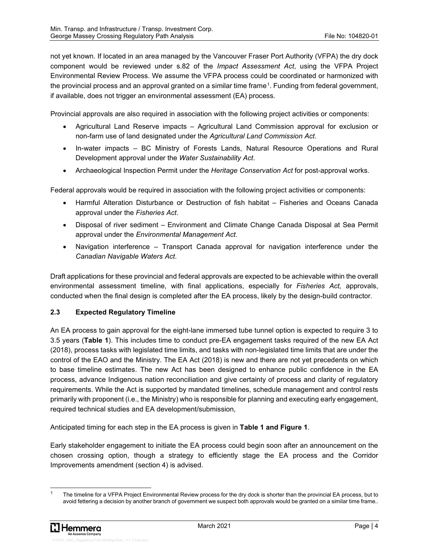not yet known. If located in an area managed by the Vancouver Fraser Port Authority (VFPA) the dry dock component would be reviewed under s.82 of the *Impact Assessment Act*, using the VFPA Project Environmental Review Process. We assume the VFPA process could be coordinated or harmonized with the provincial process and an approval granted on a similar time frame1. Funding from federal government, if available, does not trigger an environmental assessment (EA) process.

Provincial approvals are also required in association with the following project activities or components:

- Agricultural Land Reserve impacts Agricultural Land Commission approval for exclusion or non-farm use of land designated under the *Agricultural Land Commission Act*.
- In-water impacts BC Ministry of Forests Lands, Natural Resource Operations and Rural Development approval under the *Water Sustainability Act*.
- Archaeological Inspection Permit under the *Heritage Conservation Act* for post-approval works.

Federal approvals would be required in association with the following project activities or components:

- Harmful Alteration Disturbance or Destruction of fish habitat Fisheries and Oceans Canada approval under the *Fisheries Act*.
- Disposal of river sediment Environment and Climate Change Canada Disposal at Sea Permit approval under the *Environmental Management Act*.
- Navigation interference Transport Canada approval for navigation interference under the *Canadian Navigable Waters Act*.

Draft applications for these provincial and federal approvals are expected to be achievable within the overall environmental assessment timeline, with final applications, especially for *Fisheries Act,* approvals, conducted when the final design is completed after the EA process, likely by the design-build contractor.

#### **2.3 Expected Regulatory Timeline**

An EA process to gain approval for the eight-lane immersed tube tunnel option is expected to require 3 to 3.5 years (**Table 1**). This includes time to conduct pre-EA engagement tasks required of the new EA Act (2018), process tasks with legislated time limits, and tasks with non-legislated time limits that are under the control of the EAO and the Ministry. The EA Act (2018) is new and there are not yet precedents on which to base timeline estimates. The new Act has been designed to enhance public confidence in the EA process, advance Indigenous nation reconciliation and give certainty of process and clarity of regulatory requirements. While the Act is supported by mandated timelines, schedule management and control rests primarily with proponent (i.e., the Ministry) who is responsible for planning and executing early engagement, required technical studies and EA development/submission,

Anticipated timing for each step in the EA process is given in **Table 1 and Figure 1**.

Early stakeholder engagement to initiate the EA process could begin soon after an announcement on the chosen crossing option, though a strategy to efficiently stage the EA process and the Corridor Improvements amendment (section 4) is advised.

The timeline for a VFPA Project Environmental Review process for the dry dock is shorter than the provincial EA process, but to avoid fettering a decision by another branch of government we suspect both approvals would be granted on a similar time frame.*.*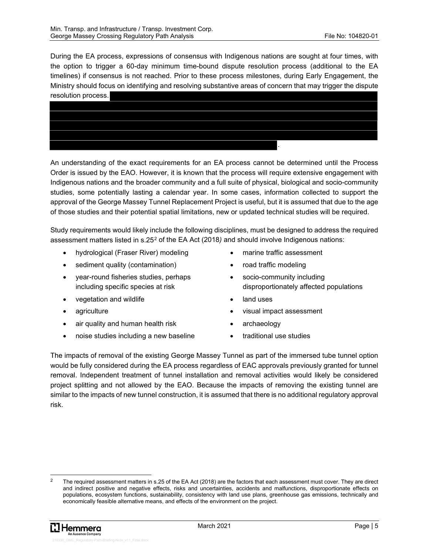During the EA process, expressions of consensus with Indigenous nations are sought at four times, with the option to trigger a 60-day minimum time-bound dispute resolution process (additional to the EA timelines) if consensus is not reached. Prior to these process milestones, during Early Engagement, the Ministry should focus on identifying and resolving substantive areas of concern that may trigger the dispute resolution process.



An understanding of the exact requirements for an EA process cannot be determined until the Process Order is issued by the EAO. However, it is known that the process will require extensive engagement with Indigenous nations and the broader community and a full suite of physical, biological and socio-community studies, some potentially lasting a calendar year. In some cases, information collected to support the approval of the George Massey Tunnel Replacement Project is useful, but it is assumed that due to the age of those studies and their potential spatial limitations, new or updated technical studies will be required.

Study requirements would likely include the following disciplines, must be designed to address the required assessment matters listed in s.252 of the EA Act (2018*)* and should involve Indigenous nations:

- hydrological (Fraser River) modeling
- sediment quality (contamination)
- year-round fisheries studies, perhaps including specific species at risk
- vegetation and wildlife
- agriculture
- air quality and human health risk
- noise studies including a new baseline
- marine traffic assessment
- road traffic modeling
- socio-community including disproportionately affected populations
- land uses
- visual impact assessment
- archaeology
- traditional use studies

The impacts of removal of the existing George Massey Tunnel as part of the immersed tube tunnel option would be fully considered during the EA process regardless of EAC approvals previously granted for tunnel removal. Independent treatment of tunnel installation and removal activities would likely be considered project splitting and not allowed by the EAO. Because the impacts of removing the existing tunnel are similar to the impacts of new tunnel construction, it is assumed that there is no additional regulatory approval risk.

The required assessment matters in s.25 of the EA Act (2018) are the factors that each assessment must cover. They are direct and indirect positive and negative effects, risks and uncertainties, accidents and malfunctions, disproportionate effects on populations, ecosystem functions, sustainability, consistency with land use plans, greenhouse gas emissions, technically and economically feasible alternative means, and effects of the environment on the project.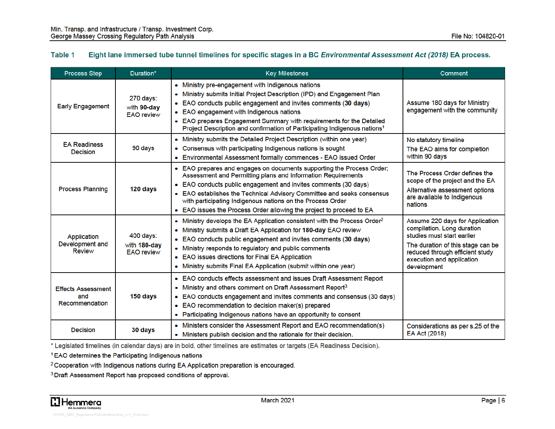#### Table 1 Eight lane immersed tube tunnel timelines for specific stages in a BC Environmental Assessment Act (2018) EA process.

| <b>Process Step</b>                                | Duration*                                        | <b>Key Milestones</b>                                                                                                                                                                                                                                                                                                                                                                                                    | Comment                                                                                                                                                                                                         |
|----------------------------------------------------|--------------------------------------------------|--------------------------------------------------------------------------------------------------------------------------------------------------------------------------------------------------------------------------------------------------------------------------------------------------------------------------------------------------------------------------------------------------------------------------|-----------------------------------------------------------------------------------------------------------------------------------------------------------------------------------------------------------------|
| <b>Early Engagement</b>                            | 270 days:<br>with 90-day<br><b>EAO</b> review    | • Ministry pre-engagement with Indigenous nations<br>• Ministry submits Initial Project Description (IPD) and Engagement Plan<br>• EAO conducts public engagement and invites comments (30 days)<br>• EAO engagement with Indigenous nations<br>• EAO prepares Engagement Summary with requirements for the Detailed<br>Project Description and confirmation of Participating Indigenous nations <sup>1</sup>            | Assume 180 days for Ministry<br>engagement with the community                                                                                                                                                   |
| <b>EA Readiness</b><br>Decision                    | 90 days                                          | • Ministry submits the Detailed Project Description (within one year)<br>• Consensus with participating Indigenous nations is sought<br>• Environmental Assessment formally commences - EAO issued Order                                                                                                                                                                                                                 | No statutory timeline<br>The EAO aims for completion<br>within 90 days                                                                                                                                          |
| <b>Process Planning</b>                            | 120 days                                         | • EAO prepares and engages on documents supporting the Process Order;<br>Assessment and Permitting plans and Information Requirements<br>• EAO conducts public engagement and invites comments (30 days)<br>• EAO establishes the Technical Advisory Committee and seeks consensus<br>with participating Indigenous nations on the Process Order<br>• EAO issues the Process Order allowing the project to proceed to EA | The Process Order defines the<br>scope of the project and the EA<br>Alternative assessment options<br>are available to Indigenous<br>nations                                                                    |
| Application<br>Development and<br><b>Review</b>    | $400$ days:<br>with 180-day<br><b>EAO</b> review | • Ministry develops the EA Application consistent with the Process Order <sup>2</sup><br>• Ministry submits a Draft EA Application for 180-day EAO review<br>• EAO conducts public engagement and invites comments (30 days)<br>• Ministry responds to regulatory and public comments<br>• EAO issues directions for Final EA Application<br>• Ministry submits Final EA Application (submit within one year)            | Assume 220 days for Application<br>compilation. Long duration<br>studies must start earlier<br>The duration of this stage can be<br>reduced through efficient study<br>execution and application<br>development |
| <b>Effects Assessment</b><br>and<br>Recommendation | 150 days                                         | • EAO conducts effects assessment and issues Draft Assessment Report<br>• Ministry and others comment on Draft Assessment Report <sup>3</sup><br>• EAO conducts engagement and invites comments and consensus (30 days)<br>• EAO recommendation to decision maker(s) prepared<br>• Participating Indigenous nations have an opportunity to consent                                                                       |                                                                                                                                                                                                                 |
| <b>Decision</b>                                    | 30 days                                          | • Ministers consider the Assessment Report and EAO recommendation(s)<br>• Ministers publish decision and the rationale for their decision.                                                                                                                                                                                                                                                                               | Considerations as per s.25 of the<br>EA Act (2018)                                                                                                                                                              |

\* Legislated timelines (in calendar days) are in bold, other timelines are estimates or targets (EA Readiness Decision).

<sup>1</sup> EAO determines the Participating Indigenous nations

<sup>2</sup> Cooperation with Indigenous nations during EA Application preparation is encouraged.

<sup>3</sup> Draft Assessment Report has proposed conditions of approval.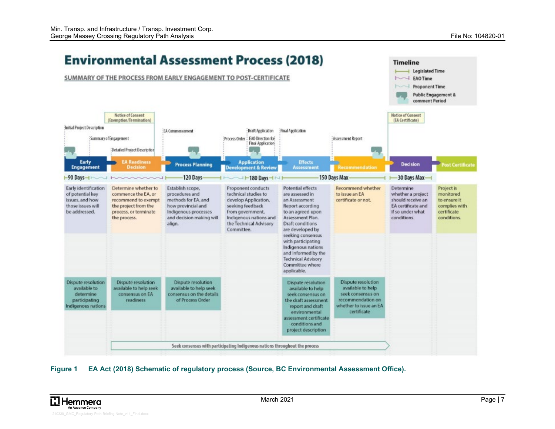

#### **Figure 1 EA Act (2018) Schematic of regulatory process (Source, BC Environmental Assessment Office).**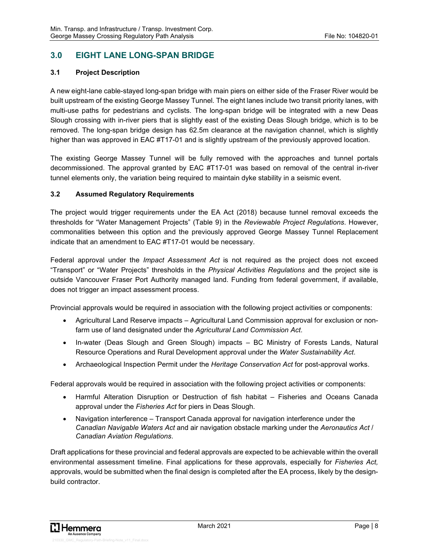# **3.0 EIGHT LANE LONG-SPAN BRIDGE**

#### **3.1 Project Description**

A new eight-lane cable-stayed long-span bridge with main piers on either side of the Fraser River would be built upstream of the existing George Massey Tunnel. The eight lanes include two transit priority lanes, with multi-use paths for pedestrians and cyclists. The long-span bridge will be integrated with a new Deas Slough crossing with in-river piers that is slightly east of the existing Deas Slough bridge, which is to be removed. The long-span bridge design has 62.5m clearance at the navigation channel, which is slightly higher than was approved in EAC #T17-01 and is slightly upstream of the previously approved location.

The existing George Massey Tunnel will be fully removed with the approaches and tunnel portals decommissioned. The approval granted by EAC #T17-01 was based on removal of the central in-river tunnel elements only, the variation being required to maintain dyke stability in a seismic event.

#### **3.2 Assumed Regulatory Requirements**

The project would trigger requirements under the EA Act (2018) because tunnel removal exceeds the thresholds for "Water Management Projects" (Table 9) in the *Reviewable Project Regulations*. However, commonalities between this option and the previously approved George Massey Tunnel Replacement indicate that an amendment to EAC #T17-01 would be necessary.

Federal approval under the *Impact Assessment Act* is not required as the project does not exceed "Transport" or "Water Projects" thresholds in the *Physical Activities Regulations* and the project site is outside Vancouver Fraser Port Authority managed land. Funding from federal government, if available, does not trigger an impact assessment process.

Provincial approvals would be required in association with the following project activities or components:

- Agricultural Land Reserve impacts Agricultural Land Commission approval for exclusion or nonfarm use of land designated under the *Agricultural Land Commission Act*.
- In-water (Deas Slough and Green Slough) impacts BC Ministry of Forests Lands, Natural Resource Operations and Rural Development approval under the *Water Sustainability Act*.
- Archaeological Inspection Permit under the *Heritage Conservation Act* for post-approval works.

Federal approvals would be required in association with the following project activities or components:

- Harmful Alteration Disruption or Destruction of fish habitat Fisheries and Oceans Canada approval under the *Fisheries Act* for piers in Deas Slough.
- Navigation interference Transport Canada approval for navigation interference under the *Canadian Navigable Waters Act* and air navigation obstacle marking under the *Aeronautics Act* / *Canadian Aviation Regulations*.

Draft applications for these provincial and federal approvals are expected to be achievable within the overall environmental assessment timeline. Final applications for these approvals, especially for *Fisheries Act,* approvals, would be submitted when the final design is completed after the EA process, likely by the designbuild contractor.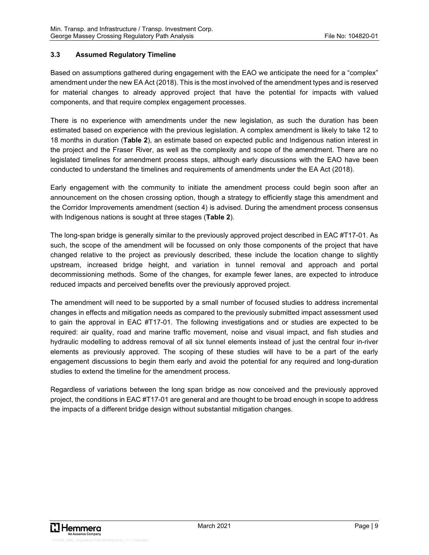## **3.3 Assumed Regulatory Timeline**

Based on assumptions gathered during engagement with the EAO we anticipate the need for a "complex" amendment under the new EA Act (2018). This is the most involved of the amendment types and is reserved for material changes to already approved project that have the potential for impacts with valued components, and that require complex engagement processes.

There is no experience with amendments under the new legislation, as such the duration has been estimated based on experience with the previous legislation. A complex amendment is likely to take 12 to 18 months in duration (**Table 2**), an estimate based on expected public and Indigenous nation interest in the project and the Fraser River, as well as the complexity and scope of the amendment. There are no legislated timelines for amendment process steps, although early discussions with the EAO have been conducted to understand the timelines and requirements of amendments under the EA Act (2018).

Early engagement with the community to initiate the amendment process could begin soon after an announcement on the chosen crossing option, though a strategy to efficiently stage this amendment and the Corridor Improvements amendment (section 4) is advised. During the amendment process consensus with Indigenous nations is sought at three stages (**Table 2**).

The long-span bridge is generally similar to the previously approved project described in EAC #T17-01. As such, the scope of the amendment will be focussed on only those components of the project that have changed relative to the project as previously described, these include the location change to slightly upstream, increased bridge height, and variation in tunnel removal and approach and portal decommissioning methods. Some of the changes, for example fewer lanes, are expected to introduce reduced impacts and perceived benefits over the previously approved project.

The amendment will need to be supported by a small number of focused studies to address incremental changes in effects and mitigation needs as compared to the previously submitted impact assessment used to gain the approval in EAC #T17-01. The following investigations and or studies are expected to be required: air quality, road and marine traffic movement, noise and visual impact, and fish studies and hydraulic modelling to address removal of all six tunnel elements instead of just the central four in-river elements as previously approved. The scoping of these studies will have to be a part of the early engagement discussions to begin them early and avoid the potential for any required and long-duration studies to extend the timeline for the amendment process.

Regardless of variations between the long span bridge as now conceived and the previously approved project, the conditions in EAC #T17-01 are general and are thought to be broad enough in scope to address the impacts of a different bridge design without substantial mitigation changes.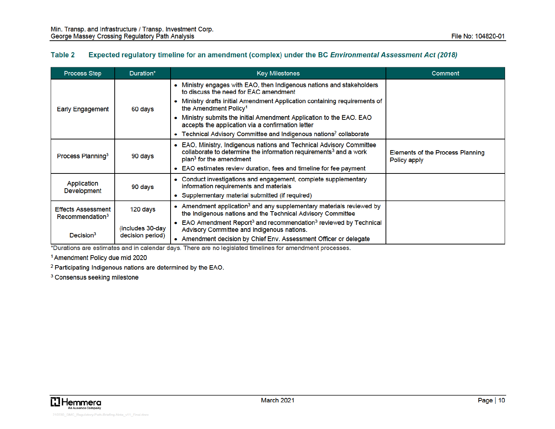#### Table 2 Expected regulatory timeline for an amendment (complex) under the BC Environmental Assessment Act (2018)

| <b>Process Step</b>                                      | Duration*                             | <b>Key Milestones</b>                                                                                                                                                                        | Comment                                          |
|----------------------------------------------------------|---------------------------------------|----------------------------------------------------------------------------------------------------------------------------------------------------------------------------------------------|--------------------------------------------------|
|                                                          | 60 days                               | • Ministry engages with EAO, then Indigenous nations and stakeholders<br>to discuss the need for EAC amendment                                                                               |                                                  |
| <b>Early Engagement</b>                                  |                                       | Ministry drafts initial Amendment Application containing requirements of<br>the Amendment Policy <sup>1</sup>                                                                                |                                                  |
|                                                          |                                       | Ministry submits the initial Amendment Application to the EAO. EAO<br>accepts the application via a confirmation letter                                                                      |                                                  |
|                                                          |                                       | • Technical Advisory Committee and Indigenous nations <sup>2</sup> collaborate                                                                                                               |                                                  |
| Process Planning <sup>3</sup>                            | 90 days                               | • EAO, Ministry, Indigenous nations and Technical Advisory Committee<br>collaborate to determine the information requirements <sup>3</sup> and a work<br>plan <sup>3</sup> for the amendment | Elements of the Process Planning<br>Policy apply |
|                                                          |                                       | • EAO estimates review duration, fees and timeline for fee payment                                                                                                                           |                                                  |
| Application<br>Development                               | 90 days                               | • Conduct investigations and engagement, complete supplementary<br>information requirements and materials                                                                                    |                                                  |
|                                                          |                                       | • Supplementary material submitted (if required)                                                                                                                                             |                                                  |
| <b>Effects Assessment</b><br>Recommendation <sup>3</sup> | 120 days                              | • Amendment application <sup>3</sup> and any supplementary materials reviewed by<br>the Indigenous nations and the Technical Advisory Committee                                              |                                                  |
| Decision <sup>3</sup>                                    | (includes 30-day)<br>decision period) | • EAO Amendment Report <sup>3</sup> and recommendation <sup>3</sup> reviewed by Technical<br>Advisory Committee and Indigenous nations.                                                      |                                                  |
|                                                          |                                       | • Amendment decision by Chief Env. Assessment Officer or delegate                                                                                                                            |                                                  |

\*Durations are estimates and in calendar days. There are no legislated timelines for amendment processes.

<sup>1</sup> Amendment Policy due mid 2020

<sup>2</sup> Participating Indigenous nations are determined by the EAO.

<sup>3</sup> Consensus seeking milestone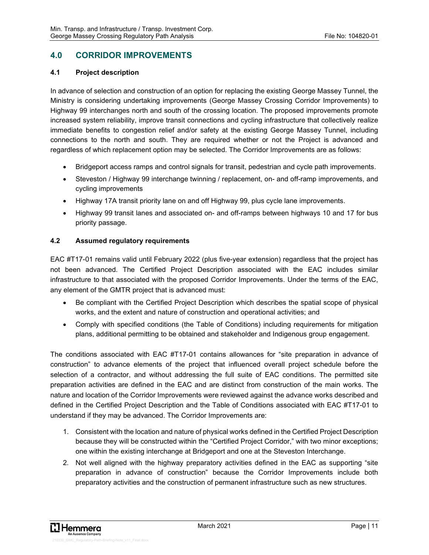# **4.0 CORRIDOR IMPROVEMENTS**

#### **4.1 Project description**

In advance of selection and construction of an option for replacing the existing George Massey Tunnel, the Ministry is considering undertaking improvements (George Massey Crossing Corridor Improvements) to Highway 99 interchanges north and south of the crossing location. The proposed improvements promote increased system reliability, improve transit connections and cycling infrastructure that collectively realize immediate benefits to congestion relief and/or safety at the existing George Massey Tunnel, including connections to the north and south. They are required whether or not the Project is advanced and regardless of which replacement option may be selected. The Corridor Improvements are as follows:

- Bridgeport access ramps and control signals for transit, pedestrian and cycle path improvements.
- Steveston / Highway 99 interchange twinning / replacement, on- and off-ramp improvements, and cycling improvements
- Highway 17A transit priority lane on and off Highway 99, plus cycle lane improvements.
- Highway 99 transit lanes and associated on- and off-ramps between highways 10 and 17 for bus priority passage.

#### **4.2 Assumed regulatory requirements**

EAC #T17-01 remains valid until February 2022 (plus five-year extension) regardless that the project has not been advanced. The Certified Project Description associated with the EAC includes similar infrastructure to that associated with the proposed Corridor Improvements. Under the terms of the EAC, any element of the GMTR project that is advanced must:

- Be compliant with the Certified Project Description which describes the spatial scope of physical works, and the extent and nature of construction and operational activities; and
- Comply with specified conditions (the Table of Conditions) including requirements for mitigation plans, additional permitting to be obtained and stakeholder and Indigenous group engagement.

The conditions associated with EAC #T17-01 contains allowances for "site preparation in advance of construction" to advance elements of the project that influenced overall project schedule before the selection of a contractor, and without addressing the full suite of EAC conditions. The permitted site preparation activities are defined in the EAC and are distinct from construction of the main works. The nature and location of the Corridor Improvements were reviewed against the advance works described and defined in the Certified Project Description and the Table of Conditions associated with EAC #T17-01 to understand if they may be advanced. The Corridor Improvements are:

- 1. Consistent with the location and nature of physical works defined in the Certified Project Description because they will be constructed within the "Certified Project Corridor," with two minor exceptions; one within the existing interchange at Bridgeport and one at the Steveston Interchange.
- 2. Not well aligned with the highway preparatory activities defined in the EAC as supporting "site preparation in advance of construction" because the Corridor Improvements include both preparatory activities and the construction of permanent infrastructure such as new structures.